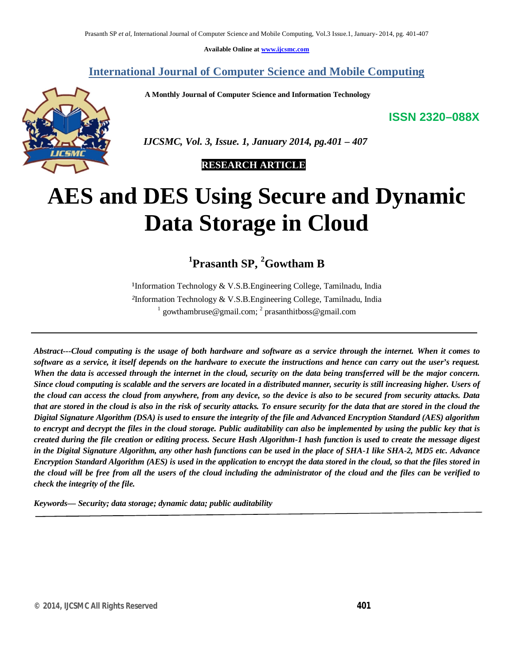**Available Online at www.ijcsmc.com**

### **International Journal of Computer Science and Mobile Computing**

 **A Monthly Journal of Computer Science and Information Technology**

**ISSN 2320–088X**



 *IJCSMC, Vol. 3, Issue. 1, January 2014, pg.401 – 407*

 **RESEARCH ARTICLE**

# **AES and DES Using Secure and Dynamic Data Storage in Cloud**

**1 Prasanth SP, <sup>2</sup>Gowtham B**

<sup>1</sup>Information Technology & V.S.B.Engineering College, Tamilnadu, India *²*Information Technology & V.S.B.Engineering College, Tamilnadu, India <sup>1</sup> gowthambruse@gmail.com; <sup>2</sup> prasanthitboss@gmail.com

*Abstract---Cloud computing is the usage of both hardware and software as a service through the internet. When it comes to software as a service, it itself depends on the hardware to execute the instructions and hence can carry out the user's request. When the data is accessed through the internet in the cloud, security on the data being transferred will be the major concern. Since cloud computing is scalable and the servers are located in a distributed manner, security is still increasing higher. Users of the cloud can access the cloud from anywhere, from any device, so the device is also to be secured from security attacks. Data that are stored in the cloud is also in the risk of security attacks. To ensure security for the data that are stored in the cloud the Digital Signature Algorithm (DSA) is used to ensure the integrity of the file and Advanced Encryption Standard (AES) algorithm to encrypt and decrypt the files in the cloud storage. Public auditability can also be implemented by using the public key that is created during the file creation or editing process. Secure Hash Algorithm-1 hash function is used to create the message digest in the Digital Signature Algorithm, any other hash functions can be used in the place of SHA-1 like SHA-2, MD5 etc. Advance Encryption Standard Algorithm (AES) is used in the application to encrypt the data stored in the cloud, so that the files stored in the cloud will be free from all the users of the cloud including the administrator of the cloud and the files can be verified to check the integrity of the file.*

*Keywords— Security; data storage; dynamic data; public auditability*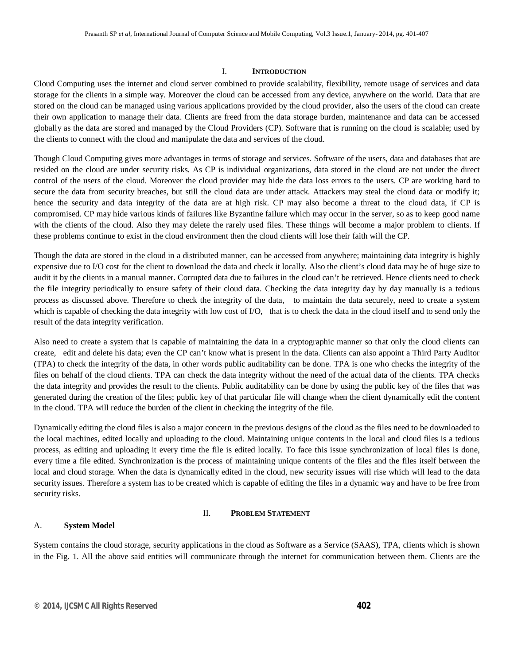#### I. **INTRODUCTION**

Cloud Computing uses the internet and cloud server combined to provide scalability, flexibility, remote usage of services and data storage for the clients in a simple way. Moreover the cloud can be accessed from any device, anywhere on the world. Data that are stored on the cloud can be managed using various applications provided by the cloud provider, also the users of the cloud can create their own application to manage their data. Clients are freed from the data storage burden, maintenance and data can be accessed globally as the data are stored and managed by the Cloud Providers (CP). Software that is running on the cloud is scalable; used by the clients to connect with the cloud and manipulate the data and services of the cloud.

Though Cloud Computing gives more advantages in terms of storage and services. Software of the users, data and databases that are resided on the cloud are under security risks. As CP is individual organizations, data stored in the cloud are not under the direct control of the users of the cloud. Moreover the cloud provider may hide the data loss errors to the users. CP are working hard to secure the data from security breaches, but still the cloud data are under attack. Attackers may steal the cloud data or modify it; hence the security and data integrity of the data are at high risk. CP may also become a threat to the cloud data, if CP is compromised. CP may hide various kinds of failures like Byzantine failure which may occur in the server, so as to keep good name with the clients of the cloud. Also they may delete the rarely used files. These things will become a major problem to clients. If these problems continue to exist in the cloud environment then the cloud clients will lose their faith will the CP.

Though the data are stored in the cloud in a distributed manner, can be accessed from anywhere; maintaining data integrity is highly expensive due to I/O cost for the client to download the data and check it locally. Also the client's cloud data may be of huge size to audit it by the clients in a manual manner. Corrupted data due to failures in the cloud can't be retrieved. Hence clients need to check the file integrity periodically to ensure safety of their cloud data. Checking the data integrity day by day manually is a tedious process as discussed above. Therefore to check the integrity of the data, to maintain the data securely, need to create a system which is capable of checking the data integrity with low cost of I/O, that is to check the data in the cloud itself and to send only the result of the data integrity verification.

Also need to create a system that is capable of maintaining the data in a cryptographic manner so that only the cloud clients can create, edit and delete his data; even the CP can't know what is present in the data. Clients can also appoint a Third Party Auditor (TPA) to check the integrity of the data, in other words public auditability can be done. TPA is one who checks the integrity of the files on behalf of the cloud clients. TPA can check the data integrity without the need of the actual data of the clients. TPA checks the data integrity and provides the result to the clients. Public auditability can be done by using the public key of the files that was generated during the creation of the files; public key of that particular file will change when the client dynamically edit the content in the cloud. TPA will reduce the burden of the client in checking the integrity of the file.

Dynamically editing the cloud files is also a major concern in the previous designs of the cloud as the files need to be downloaded to the local machines, edited locally and uploading to the cloud. Maintaining unique contents in the local and cloud files is a tedious process, as editing and uploading it every time the file is edited locally. To face this issue synchronization of local files is done, every time a file edited. Synchronization is the process of maintaining unique contents of the files and the files itself between the local and cloud storage. When the data is dynamically edited in the cloud, new security issues will rise which will lead to the data security issues. Therefore a system has to be created which is capable of editing the files in a dynamic way and have to be free from security risks.

#### II. **PROBLEM STATEMENT**

#### A. **System Model**

System contains the cloud storage, security applications in the cloud as Software as a Service (SAAS), TPA, clients which is shown in the Fig. 1. All the above said entities will communicate through the internet for communication between them. Clients are the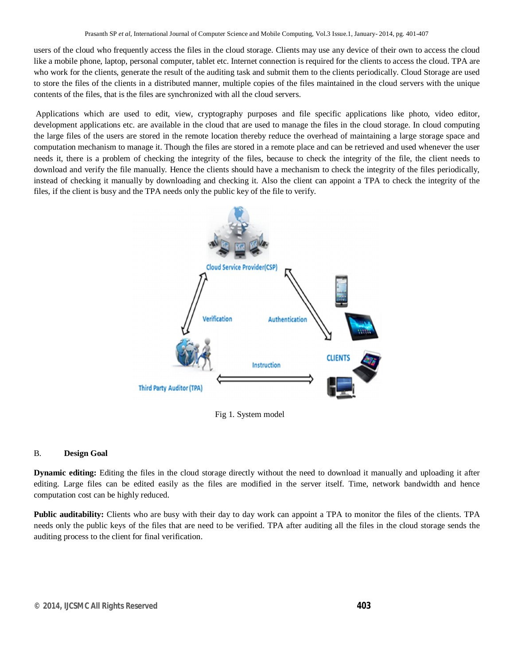users of the cloud who frequently access the files in the cloud storage. Clients may use any device of their own to access the cloud like a mobile phone, laptop, personal computer, tablet etc. Internet connection is required for the clients to access the cloud. TPA are who work for the clients, generate the result of the auditing task and submit them to the clients periodically. Cloud Storage are used to store the files of the clients in a distributed manner, multiple copies of the files maintained in the cloud servers with the unique contents of the files, that is the files are synchronized with all the cloud servers.

Applications which are used to edit, view, cryptography purposes and file specific applications like photo, video editor, development applications etc. are available in the cloud that are used to manage the files in the cloud storage. In cloud computing the large files of the users are stored in the remote location thereby reduce the overhead of maintaining a large storage space and computation mechanism to manage it. Though the files are stored in a remote place and can be retrieved and used whenever the user needs it, there is a problem of checking the integrity of the files, because to check the integrity of the file, the client needs to download and verify the file manually. Hence the clients should have a mechanism to check the integrity of the files periodically, instead of checking it manually by downloading and checking it. Also the client can appoint a TPA to check the integrity of the files, if the client is busy and the TPA needs only the public key of the file to verify.



Fig 1. System model

#### B. **Design Goal**

**Dynamic editing:** Editing the files in the cloud storage directly without the need to download it manually and uploading it after editing. Large files can be edited easily as the files are modified in the server itself. Time, network bandwidth and hence computation cost can be highly reduced.

**Public auditability:** Clients who are busy with their day to day work can appoint a TPA to monitor the files of the clients. TPA needs only the public keys of the files that are need to be verified. TPA after auditing all the files in the cloud storage sends the auditing process to the client for final verification.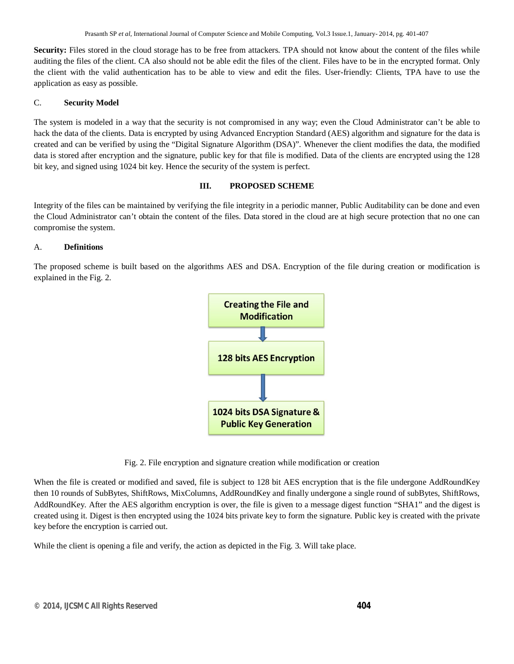**Security:** Files stored in the cloud storage has to be free from attackers. TPA should not know about the content of the files while auditing the files of the client. CA also should not be able edit the files of the client. Files have to be in the encrypted format. Only the client with the valid authentication has to be able to view and edit the files. User-friendly: Clients, TPA have to use the application as easy as possible.

#### C. **Security Model**

The system is modeled in a way that the security is not compromised in any way; even the Cloud Administrator can't be able to hack the data of the clients. Data is encrypted by using Advanced Encryption Standard (AES) algorithm and signature for the data is created and can be verified by using the "Digital Signature Algorithm (DSA)". Whenever the client modifies the data, the modified data is stored after encryption and the signature, public key for that file is modified. Data of the clients are encrypted using the 128 bit key, and signed using 1024 bit key. Hence the security of the system is perfect.

#### **III. PROPOSED SCHEME**

Integrity of the files can be maintained by verifying the file integrity in a periodic manner, Public Auditability can be done and even the Cloud Administrator can't obtain the content of the files. Data stored in the cloud are at high secure protection that no one can compromise the system.

#### A. **Definitions**

The proposed scheme is built based on the algorithms AES and DSA. Encryption of the file during creation or modification is explained in the Fig. 2.



Fig. 2. File encryption and signature creation while modification or creation

When the file is created or modified and saved, file is subject to 128 bit AES encryption that is the file undergone AddRoundKey then 10 rounds of SubBytes, ShiftRows, MixColumns, AddRoundKey and finally undergone a single round of subBytes, ShiftRows, AddRoundKey. After the AES algorithm encryption is over, the file is given to a message digest function "SHA1" and the digest is created using it. Digest is then encrypted using the 1024 bits private key to form the signature. Public key is created with the private key before the encryption is carried out.

While the client is opening a file and verify, the action as depicted in the Fig. 3. Will take place.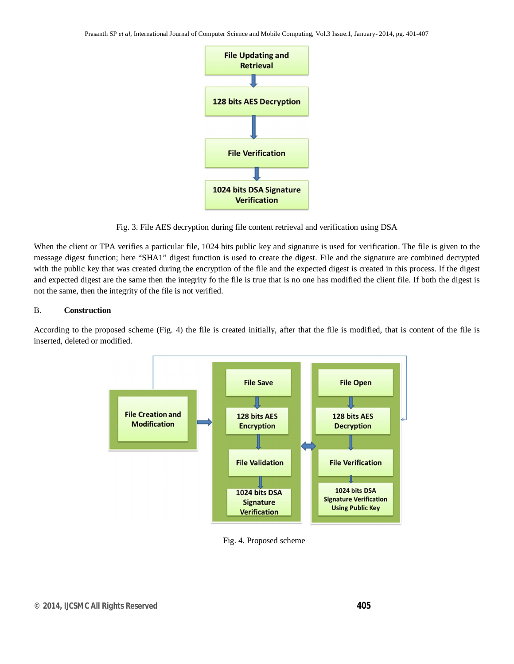Prasanth SP *et al*, International Journal of Computer Science and Mobile Computing, Vol.3 Issue.1, January- 2014, pg. 401-407



Fig. 3. File AES decryption during file content retrieval and verification using DSA

When the client or TPA verifies a particular file, 1024 bits public key and signature is used for verification. The file is given to the message digest function; here "SHA1" digest function is used to create the digest. File and the signature are combined decrypted with the public key that was created during the encryption of the file and the expected digest is created in this process. If the digest and expected digest are the same then the integrity fo the file is true that is no one has modified the client file. If both the digest is not the same, then the integrity of the file is not verified.

#### B. **Construction**

According to the proposed scheme (Fig. 4) the file is created initially, after that the file is modified, that is content of the file is inserted, deleted or modified.



Fig. 4. Proposed scheme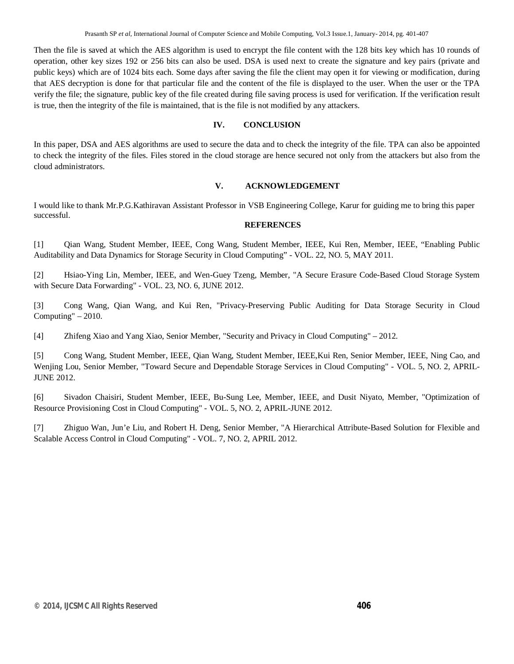Then the file is saved at which the AES algorithm is used to encrypt the file content with the 128 bits key which has 10 rounds of operation, other key sizes 192 or 256 bits can also be used. DSA is used next to create the signature and key pairs (private and public keys) which are of 1024 bits each. Some days after saving the file the client may open it for viewing or modification, during that AES decryption is done for that particular file and the content of the file is displayed to the user. When the user or the TPA verify the file; the signature, public key of the file created during file saving process is used for verification. If the verification result is true, then the integrity of the file is maintained, that is the file is not modified by any attackers.

#### **IV. CONCLUSION**

In this paper, DSA and AES algorithms are used to secure the data and to check the integrity of the file. TPA can also be appointed to check the integrity of the files. Files stored in the cloud storage are hence secured not only from the attackers but also from the cloud administrators.

#### **V. ACKNOWLEDGEMENT**

I would like to thank Mr.P.G.Kathiravan Assistant Professor in VSB Engineering College, Karur for guiding me to bring this paper successful.

#### **REFERENCES**

[1] Qian Wang, Student Member, IEEE, Cong Wang, Student Member, IEEE, Kui Ren, Member, IEEE, "Enabling Public Auditability and Data Dynamics for Storage Security in Cloud Computing" - VOL. 22, NO. 5, MAY 2011.

[2] Hsiao-Ying Lin, Member, IEEE, and Wen-Guey Tzeng, Member, "A Secure Erasure Code-Based Cloud Storage System with Secure Data Forwarding" - VOL. 23, NO. 6, JUNE 2012.

[3] Cong Wang, Qian Wang, and Kui Ren, "Privacy-Preserving Public Auditing for Data Storage Security in Cloud Computing" – 2010.

[4] Zhifeng Xiao and Yang Xiao, Senior Member, "Security and Privacy in Cloud Computing" – 2012.

[5] Cong Wang, Student Member, IEEE, Qian Wang, Student Member, IEEE,Kui Ren, Senior Member, IEEE, Ning Cao, and Wenjing Lou, Senior Member, "Toward Secure and Dependable Storage Services in Cloud Computing" - VOL. 5, NO. 2, APRIL-JUNE 2012.

[6] Sivadon Chaisiri, Student Member, IEEE, Bu-Sung Lee, Member, IEEE, and Dusit Niyato, Member, "Optimization of Resource Provisioning Cost in Cloud Computing" - VOL. 5, NO. 2, APRIL-JUNE 2012.

[7] Zhiguo Wan, Jun'e Liu, and Robert H. Deng, Senior Member, "A Hierarchical Attribute-Based Solution for Flexible and Scalable Access Control in Cloud Computing" - VOL. 7, NO. 2, APRIL 2012.